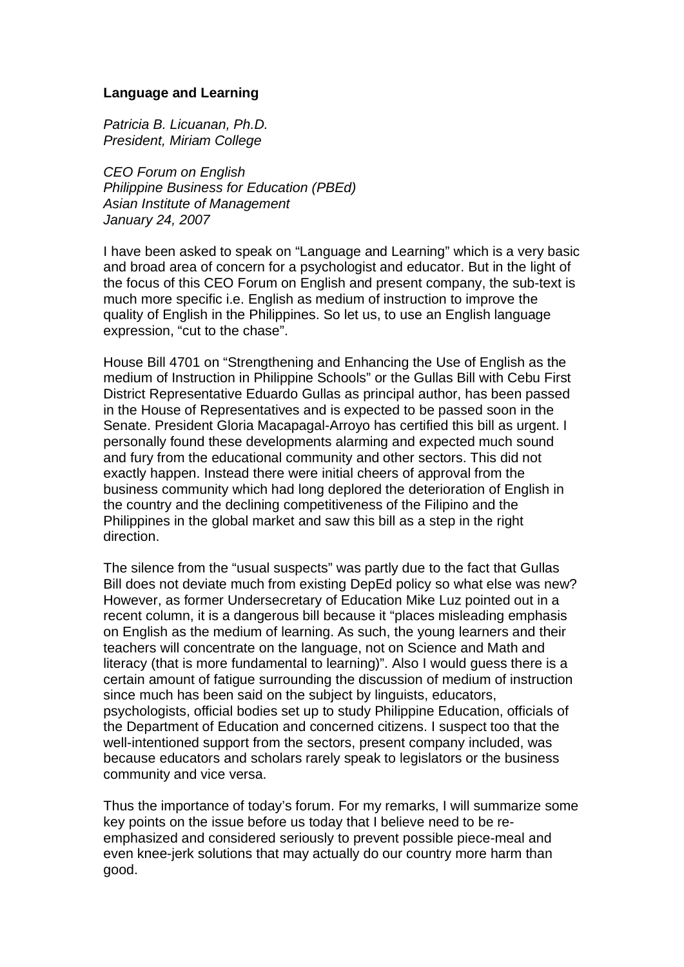## **Language and Learning**

*Patricia B. Licuanan, Ph.D. President, Miriam College* 

*CEO Forum on English Philippine Business for Education (PBEd) Asian Institute of Management January 24, 2007* 

I have been asked to speak on "Language and Learning" which is a very basic and broad area of concern for a psychologist and educator. But in the light of the focus of this CEO Forum on English and present company, the sub-text is much more specific i.e. English as medium of instruction to improve the quality of English in the Philippines. So let us, to use an English language expression, "cut to the chase".

House Bill 4701 on "Strengthening and Enhancing the Use of English as the medium of Instruction in Philippine Schools" or the Gullas Bill with Cebu First District Representative Eduardo Gullas as principal author, has been passed in the House of Representatives and is expected to be passed soon in the Senate. President Gloria Macapagal-Arroyo has certified this bill as urgent. I personally found these developments alarming and expected much sound and fury from the educational community and other sectors. This did not exactly happen. Instead there were initial cheers of approval from the business community which had long deplored the deterioration of English in the country and the declining competitiveness of the Filipino and the Philippines in the global market and saw this bill as a step in the right direction.

The silence from the "usual suspects" was partly due to the fact that Gullas Bill does not deviate much from existing DepEd policy so what else was new? However, as former Undersecretary of Education Mike Luz pointed out in a recent column, it is a dangerous bill because it "places misleading emphasis on English as the medium of learning. As such, the young learners and their teachers will concentrate on the language, not on Science and Math and literacy (that is more fundamental to learning)". Also I would guess there is a certain amount of fatigue surrounding the discussion of medium of instruction since much has been said on the subject by linguists, educators, psychologists, official bodies set up to study Philippine Education, officials of the Department of Education and concerned citizens. I suspect too that the well-intentioned support from the sectors, present company included, was because educators and scholars rarely speak to legislators or the business community and vice versa.

Thus the importance of today's forum. For my remarks, I will summarize some key points on the issue before us today that I believe need to be reemphasized and considered seriously to prevent possible piece-meal and even knee-jerk solutions that may actually do our country more harm than good.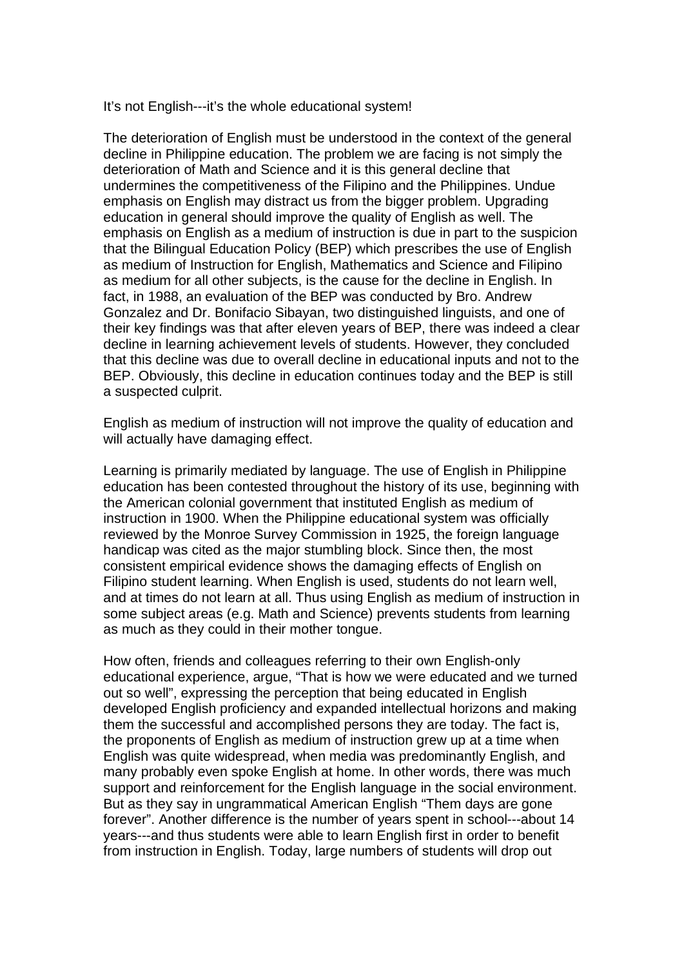It's not English---it's the whole educational system!

The deterioration of English must be understood in the context of the general decline in Philippine education. The problem we are facing is not simply the deterioration of Math and Science and it is this general decline that undermines the competitiveness of the Filipino and the Philippines. Undue emphasis on English may distract us from the bigger problem. Upgrading education in general should improve the quality of English as well. The emphasis on English as a medium of instruction is due in part to the suspicion that the Bilingual Education Policy (BEP) which prescribes the use of English as medium of Instruction for English, Mathematics and Science and Filipino as medium for all other subjects, is the cause for the decline in English. In fact, in 1988, an evaluation of the BEP was conducted by Bro. Andrew Gonzalez and Dr. Bonifacio Sibayan, two distinguished linguists, and one of their key findings was that after eleven years of BEP, there was indeed a clear decline in learning achievement levels of students. However, they concluded that this decline was due to overall decline in educational inputs and not to the BEP. Obviously, this decline in education continues today and the BEP is still a suspected culprit.

English as medium of instruction will not improve the quality of education and will actually have damaging effect.

Learning is primarily mediated by language. The use of English in Philippine education has been contested throughout the history of its use, beginning with the American colonial government that instituted English as medium of instruction in 1900. When the Philippine educational system was officially reviewed by the Monroe Survey Commission in 1925, the foreign language handicap was cited as the major stumbling block. Since then, the most consistent empirical evidence shows the damaging effects of English on Filipino student learning. When English is used, students do not learn well, and at times do not learn at all. Thus using English as medium of instruction in some subject areas (e.g. Math and Science) prevents students from learning as much as they could in their mother tongue.

How often, friends and colleagues referring to their own English-only educational experience, argue, "That is how we were educated and we turned out so well", expressing the perception that being educated in English developed English proficiency and expanded intellectual horizons and making them the successful and accomplished persons they are today. The fact is, the proponents of English as medium of instruction grew up at a time when English was quite widespread, when media was predominantly English, and many probably even spoke English at home. In other words, there was much support and reinforcement for the English language in the social environment. But as they say in ungrammatical American English "Them days are gone forever". Another difference is the number of years spent in school---about 14 years---and thus students were able to learn English first in order to benefit from instruction in English. Today, large numbers of students will drop out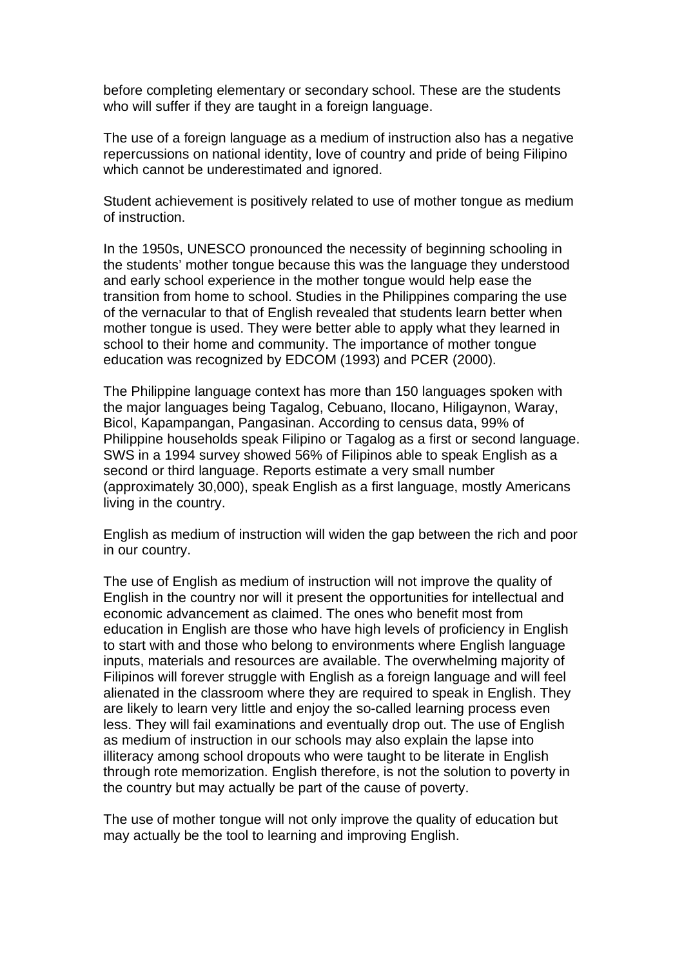before completing elementary or secondary school. These are the students who will suffer if they are taught in a foreign language.

The use of a foreign language as a medium of instruction also has a negative repercussions on national identity, love of country and pride of being Filipino which cannot be underestimated and ignored.

Student achievement is positively related to use of mother tongue as medium of instruction.

In the 1950s, UNESCO pronounced the necessity of beginning schooling in the students' mother tongue because this was the language they understood and early school experience in the mother tongue would help ease the transition from home to school. Studies in the Philippines comparing the use of the vernacular to that of English revealed that students learn better when mother tongue is used. They were better able to apply what they learned in school to their home and community. The importance of mother tongue education was recognized by EDCOM (1993) and PCER (2000).

The Philippine language context has more than 150 languages spoken with the major languages being Tagalog, Cebuano, Ilocano, Hiligaynon, Waray, Bicol, Kapampangan, Pangasinan. According to census data, 99% of Philippine households speak Filipino or Tagalog as a first or second language. SWS in a 1994 survey showed 56% of Filipinos able to speak English as a second or third language. Reports estimate a very small number (approximately 30,000), speak English as a first language, mostly Americans living in the country.

English as medium of instruction will widen the gap between the rich and poor in our country.

The use of English as medium of instruction will not improve the quality of English in the country nor will it present the opportunities for intellectual and economic advancement as claimed. The ones who benefit most from education in English are those who have high levels of proficiency in English to start with and those who belong to environments where English language inputs, materials and resources are available. The overwhelming majority of Filipinos will forever struggle with English as a foreign language and will feel alienated in the classroom where they are required to speak in English. They are likely to learn very little and enjoy the so-called learning process even less. They will fail examinations and eventually drop out. The use of English as medium of instruction in our schools may also explain the lapse into illiteracy among school dropouts who were taught to be literate in English through rote memorization. English therefore, is not the solution to poverty in the country but may actually be part of the cause of poverty.

The use of mother tongue will not only improve the quality of education but may actually be the tool to learning and improving English.